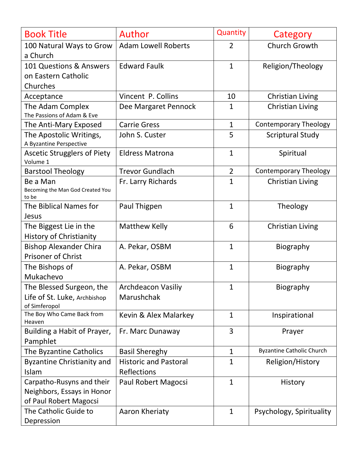| <b>Book Title</b>                                                                 | Author                                             | Quantity       | Category                         |
|-----------------------------------------------------------------------------------|----------------------------------------------------|----------------|----------------------------------|
| 100 Natural Ways to Grow<br>a Church                                              | <b>Adam Lowell Roberts</b>                         | 2              | <b>Church Growth</b>             |
| 101 Questions & Answers<br>on Eastern Catholic<br>Churches                        | <b>Edward Faulk</b>                                | $\mathbf{1}$   | Religion/Theology                |
| Acceptance                                                                        | Vincent P. Collins                                 | 10             | Christian Living                 |
| The Adam Complex<br>The Passions of Adam & Eve                                    | Dee Margaret Pennock                               | $\mathbf{1}$   | <b>Christian Living</b>          |
| The Anti-Mary Exposed                                                             | <b>Carrie Gress</b>                                | $\mathbf{1}$   | <b>Contemporary Theology</b>     |
| The Apostolic Writings,<br>A Byzantine Perspective                                | John S. Custer                                     | 5              | <b>Scriptural Study</b>          |
| <b>Ascetic Strugglers of Piety</b><br>Volume 1                                    | <b>Eldress Matrona</b>                             | $\mathbf{1}$   | Spiritual                        |
| <b>Barstool Theology</b>                                                          | <b>Trevor Gundlach</b>                             | $\overline{2}$ | <b>Contemporary Theology</b>     |
| Be a Man<br>Becoming the Man God Created You<br>to be                             | Fr. Larry Richards                                 | $\mathbf{1}$   | <b>Christian Living</b>          |
| The Biblical Names for<br>Jesus                                                   | Paul Thigpen                                       | $\mathbf{1}$   | Theology                         |
| The Biggest Lie in the<br><b>History of Christianity</b>                          | <b>Matthew Kelly</b>                               | 6              | <b>Christian Living</b>          |
| <b>Bishop Alexander Chira</b><br><b>Prisoner of Christ</b>                        | A. Pekar, OSBM                                     | $\mathbf{1}$   | Biography                        |
| The Bishops of<br>Mukachevo                                                       | A. Pekar, OSBM                                     | $\mathbf{1}$   | Biography                        |
| The Blessed Surgeon, the<br>Life of St. Luke, Archbishop<br>of Simferopol         | <b>Archdeacon Vasiliy</b><br>Marushchak            | 1              | Biography                        |
| The Boy Who Came Back from<br>Heaven                                              | Kevin & Alex Malarkey                              | $\mathbf{1}$   | Inspirational                    |
| Building a Habit of Prayer,<br>Pamphlet                                           | Fr. Marc Dunaway                                   | 3              | Prayer                           |
| The Byzantine Catholics                                                           | <b>Basil Shereghy</b>                              | $\mathbf{1}$   | <b>Byzantine Catholic Church</b> |
| <b>Byzantine Christianity and</b><br>Islam                                        | <b>Historic and Pastoral</b><br><b>Reflections</b> | $\mathbf{1}$   | Religion/History                 |
| Carpatho-Rusyns and their<br>Neighbors, Essays in Honor<br>of Paul Robert Magocsi | Paul Robert Magocsi                                | $\mathbf{1}$   | History                          |
| The Catholic Guide to<br>Depression                                               | Aaron Kheriaty                                     | $\mathbf{1}$   | Psychology, Spirituality         |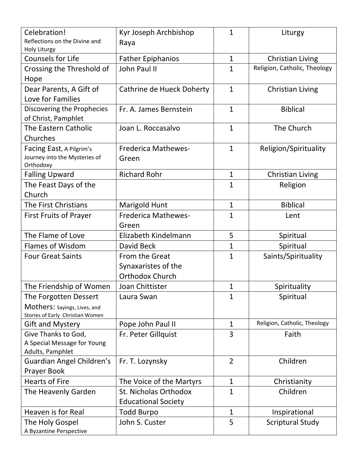| Celebration!<br>Reflections on the Divine and                                             | Kyr Joseph Archbishop<br>Raya                                   | $\mathbf{1}$   | Liturgy                                          |
|-------------------------------------------------------------------------------------------|-----------------------------------------------------------------|----------------|--------------------------------------------------|
| Holy Liturgy<br><b>Counsels for Life</b>                                                  |                                                                 | $\mathbf{1}$   |                                                  |
|                                                                                           | <b>Father Epiphanios</b><br>John Paul II                        | $\mathbf{1}$   | Christian Living<br>Religion, Catholic, Theology |
| Crossing the Threshold of<br>Hope                                                         |                                                                 |                |                                                  |
| Dear Parents, A Gift of<br>Love for Families                                              | Cathrine de Hueck Doherty                                       | $\mathbf{1}$   | <b>Christian Living</b>                          |
| Discovering the Prophecies<br>of Christ, Pamphlet                                         | Fr. A. James Bernstein                                          | $\mathbf{1}$   | <b>Biblical</b>                                  |
| The Eastern Catholic<br>Churches                                                          | Joan L. Roccasalvo                                              | $\mathbf{1}$   | The Church                                       |
| Facing East, A Pilgrim's<br>Journey into the Mysteries of<br>Orthodoxy                    | <b>Frederica Mathewes-</b><br>Green                             | $\mathbf{1}$   | Religion/Spirituality                            |
| <b>Falling Upward</b>                                                                     | <b>Richard Rohr</b>                                             | $\mathbf{1}$   | Christian Living                                 |
| The Feast Days of the<br>Church                                                           |                                                                 | $\mathbf{1}$   | Religion                                         |
| The First Christians                                                                      | <b>Marigold Hunt</b>                                            | $\mathbf{1}$   | <b>Biblical</b>                                  |
| <b>First Fruits of Prayer</b>                                                             | <b>Frederica Mathewes-</b><br>Green                             | $\mathbf{1}$   | Lent                                             |
| The Flame of Love                                                                         | Elizabeth Kindelmann                                            | 5              | Spiritual                                        |
| <b>Flames of Wisdom</b>                                                                   | David Beck                                                      | $\mathbf{1}$   | Spiritual                                        |
| <b>Four Great Saints</b>                                                                  | From the Great<br>Synaxaristes of the<br><b>Orthodox Church</b> | $\mathbf{1}$   | Saints/Spirituality                              |
| The Friendship of Women                                                                   | Joan Chittister                                                 | 1              | Spirituality                                     |
| The Forgotten Dessert<br>Mothers: Sayings, Lives, and<br>Stories of Early Christian Women | Laura Swan                                                      | $\mathbf{1}$   | Spiritual                                        |
| <b>Gift and Mystery</b>                                                                   | Pope John Paul II                                               | $\mathbf{1}$   | Religion, Catholic, Theology                     |
| Give Thanks to God,<br>A Special Message for Young<br>Adults, Pamphlet                    | Fr. Peter Gillquist                                             | 3              | Faith                                            |
| Guardian Angel Children's<br>Prayer Book                                                  | Fr. T. Lozynsky                                                 | $\overline{2}$ | Children                                         |
| <b>Hearts of Fire</b>                                                                     | The Voice of the Martyrs                                        | $\mathbf{1}$   | Christianity                                     |
| The Heavenly Garden                                                                       | St. Nicholas Orthodox<br><b>Educational Society</b>             | $\mathbf{1}$   | Children                                         |
| Heaven is for Real                                                                        | Todd Burpo                                                      | $\mathbf{1}$   | Inspirational                                    |
| The Holy Gospel<br>A Byzantine Perspective                                                | John S. Custer                                                  | 5              | <b>Scriptural Study</b>                          |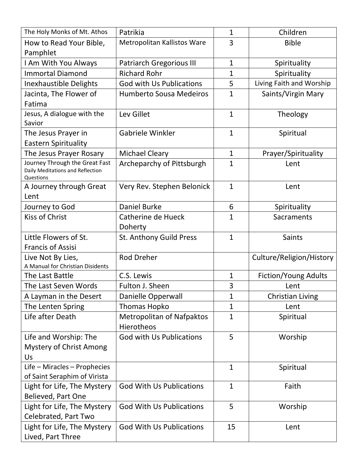| The Holy Monks of Mt. Athos                                                     | Patrikia                                       | $\mathbf{1}$ | Children                 |
|---------------------------------------------------------------------------------|------------------------------------------------|--------------|--------------------------|
| How to Read Your Bible,                                                         | Metropolitan Kallistos Ware                    | 3            | <b>Bible</b>             |
| Pamphlet                                                                        |                                                |              |                          |
| I Am With You Always                                                            | <b>Patriarch Gregorious III</b>                | $\mathbf{1}$ | Spirituality             |
| <b>Immortal Diamond</b>                                                         | <b>Richard Rohr</b>                            | $\mathbf{1}$ | Spirituality             |
| <b>Inexhaustible Delights</b>                                                   | <b>God with Us Publications</b>                | 5            | Living Faith and Worship |
| Jacinta, The Flower of                                                          | <b>Humberto Sousa Medeiros</b>                 | $\mathbf{1}$ | Saints/Virgin Mary       |
| Fatima                                                                          |                                                |              |                          |
| Jesus, A dialogue with the                                                      | Lev Gillet                                     | $\mathbf{1}$ | Theology                 |
| Savior                                                                          |                                                |              |                          |
| The Jesus Prayer in                                                             | Gabriele Winkler                               | $\mathbf{1}$ | Spiritual                |
| <b>Eastern Spirituality</b>                                                     |                                                |              |                          |
| The Jesus Prayer Rosary                                                         | <b>Michael Cleary</b>                          | $\mathbf{1}$ | Prayer/Spirituality      |
| Journey Through the Great Fast<br>Daily Meditations and Reflection<br>Questions | Archeparchy of Pittsburgh                      | $\mathbf{1}$ | Lent                     |
| A Journey through Great<br>Lent                                                 | Very Rev. Stephen Belonick                     | $\mathbf{1}$ | Lent                     |
| Journey to God                                                                  | <b>Daniel Burke</b>                            | 6            | Spirituality             |
| <b>Kiss of Christ</b>                                                           | Catherine de Hueck<br>Doherty                  | $\mathbf{1}$ | Sacraments               |
| Little Flowers of St.                                                           | St. Anthony Guild Press                        | $\mathbf{1}$ | <b>Saints</b>            |
| <b>Francis of Assisi</b>                                                        |                                                |              |                          |
| Live Not By Lies,                                                               | <b>Rod Dreher</b>                              |              | Culture/Religion/History |
| A Manual for Christian Disidents                                                |                                                |              |                          |
| The Last Battle                                                                 | C.S. Lewis                                     | $\mathbf{1}$ | Fiction/Young Adults     |
| The Last Seven Words                                                            | Fulton J. Sheen                                | 3            | Lent                     |
| A Layman in the Desert                                                          | Danielle Opperwall                             | $\mathbf{1}$ | Christian Living         |
| The Lenten Spring                                                               | <b>Thomas Hopko</b>                            | $\mathbf{1}$ | Lent                     |
| Life after Death                                                                | <b>Metropolitan of Nafpaktos</b><br>Hierotheos | $\mathbf{1}$ | Spiritual                |
| Life and Worship: The                                                           | God with Us Publications                       | 5            | Worship                  |
| <b>Mystery of Christ Among</b>                                                  |                                                |              |                          |
| Us                                                                              |                                                |              |                          |
| Life - Miracles - Prophecies                                                    |                                                | $\mathbf{1}$ | Spiritual                |
| of Saint Seraphim of Virista                                                    |                                                |              |                          |
| Light for Life, The Mystery                                                     | <b>God With Us Publications</b>                | $\mathbf{1}$ | Faith                    |
| Believed, Part One                                                              |                                                |              |                          |
| Light for Life, The Mystery                                                     | <b>God With Us Publications</b>                | 5            | Worship                  |
| Celebrated, Part Two                                                            |                                                |              |                          |
| Light for Life, The Mystery                                                     | <b>God With Us Publications</b>                | 15           | Lent                     |
| Lived, Part Three                                                               |                                                |              |                          |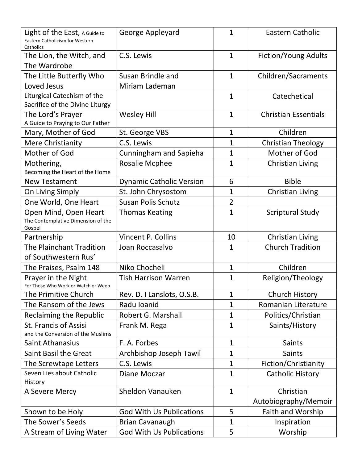| Light of the East, A Guide to<br><b>Eastern Catholicism for Western</b><br>Catholics | George Appleyard                    | $\mathbf{1}$   | <b>Eastern Catholic</b>          |
|--------------------------------------------------------------------------------------|-------------------------------------|----------------|----------------------------------|
| The Lion, the Witch, and<br>The Wardrobe                                             | C.S. Lewis                          | $\mathbf{1}$   | Fiction/Young Adults             |
| The Little Butterfly Who<br>Loved Jesus                                              | Susan Brindle and<br>Miriam Lademan | $\mathbf{1}$   | Children/Sacraments              |
| Liturgical Catechism of the<br>Sacrifice of the Divine Liturgy                       |                                     | $\mathbf{1}$   | Catechetical                     |
| The Lord's Prayer<br>A Guide to Praying to Our Father                                | <b>Wesley Hill</b>                  | $\mathbf{1}$   | <b>Christian Essentials</b>      |
| Mary, Mother of God                                                                  | St. George VBS                      | $\mathbf{1}$   | Children                         |
| <b>Mere Christianity</b>                                                             | C.S. Lewis                          | $\mathbf{1}$   | <b>Christian Theology</b>        |
| Mother of God                                                                        | Cunningham and Sapieha              | 1              | Mother of God                    |
| Mothering,<br>Becoming the Heart of the Home                                         | <b>Rosalie Mcphee</b>               | $\mathbf{1}$   | <b>Christian Living</b>          |
| <b>New Testament</b>                                                                 | <b>Dynamic Catholic Version</b>     | 6              | <b>Bible</b>                     |
| On Living Simply                                                                     | St. John Chrysostom                 | 1              | Christian Living                 |
| One World, One Heart                                                                 | <b>Susan Polis Schutz</b>           | $\overline{2}$ |                                  |
| Open Mind, Open Heart<br>The Contemplative Dimension of the<br>Gospel                | <b>Thomas Keating</b>               | $\mathbf{1}$   | <b>Scriptural Study</b>          |
| Partnership                                                                          | Vincent P. Collins                  | 10             | <b>Christian Living</b>          |
| <b>The Plainchant Tradition</b><br>of Southwestern Rus'                              | Joan Roccasalvo                     | 1              | <b>Church Tradition</b>          |
| The Praises, Psalm 148                                                               | Niko Chocheli                       | $\mathbf{1}$   | Children                         |
| Prayer in the Night<br>For Those Who Work or Watch or Weep                           | <b>Tish Harrison Warren</b>         | $\mathbf{1}$   | Religion/Theology                |
| The Primitive Church                                                                 | Rev. D. I Lanslots, O.S.B.          | 1              | <b>Church History</b>            |
| The Ransom of the Jews                                                               | Radu Ioanid                         | 1              | Romanian Literature              |
| <b>Reclaiming the Republic</b>                                                       | Robert G. Marshall                  | $\mathbf{1}$   | Politics/Christian               |
| <b>St. Francis of Assisi</b><br>and the Conversion of the Muslims                    | Frank M. Rega                       | $\mathbf{1}$   | Saints/History                   |
| <b>Saint Athanasius</b>                                                              | F. A. Forbes                        | $\mathbf{1}$   | Saints                           |
| <b>Saint Basil the Great</b>                                                         | Archbishop Joseph Tawil             | $\mathbf{1}$   | <b>Saints</b>                    |
| The Screwtape Letters                                                                |                                     |                |                                  |
|                                                                                      | C.S. Lewis                          | $\mathbf{1}$   | Fiction/Christianity             |
| Seven Lies about Catholic<br>History                                                 | Diane Moczar                        | $\mathbf{1}$   | <b>Catholic History</b>          |
| A Severe Mercy                                                                       | <b>Sheldon Vanauken</b>             | $\mathbf{1}$   | Christian                        |
|                                                                                      | <b>God With Us Publications</b>     | 5              | Autobiography/Memoir             |
| Shown to be Holy<br>The Sower's Seeds                                                | <b>Brian Cavanaugh</b>              | $\mathbf{1}$   | Faith and Worship<br>Inspiration |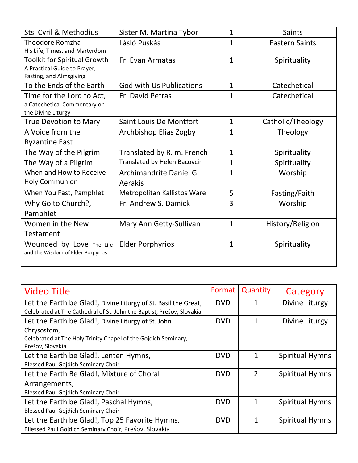| Sts. Cyril & Methodius                                                                         | Sister M. Martina Tybor            | $\mathbf{1}$ | <b>Saints</b>         |
|------------------------------------------------------------------------------------------------|------------------------------------|--------------|-----------------------|
| <b>Theodore Romzha</b><br>His Life, Times, and Martyrdom                                       | Lásló Puskás                       | $\mathbf{1}$ | <b>Eastern Saints</b> |
| <b>Toolkit for Spiritual Growth</b><br>A Practical Guide to Prayer,<br>Fasting, and Almsgiving | Fr. Evan Armatas                   | $\mathbf{1}$ | Spirituality          |
| To the Ends of the Earth                                                                       | <b>God with Us Publications</b>    | $\mathbf{1}$ | Catechetical          |
| Time for the Lord to Act,<br>a Catechetical Commentary on<br>the Divine Liturgy                | Fr. David Petras                   | $\mathbf{1}$ | Catechetical          |
| <b>True Devotion to Mary</b>                                                                   | <b>Saint Louis De Montfort</b>     | $\mathbf{1}$ | Catholic/Theology     |
| A Voice from the                                                                               | Archbishop Elias Zogby             | $\mathbf{1}$ | Theology              |
| <b>Byzantine East</b>                                                                          |                                    |              |                       |
| The Way of the Pilgrim                                                                         | Translated by R. m. French         | $\mathbf{1}$ | Spirituality          |
| The Way of a Pilgrim                                                                           | Translated by Helen Bacovcin       | $\mathbf{1}$ | Spirituality          |
| When and How to Receive<br><b>Holy Communion</b>                                               | Archimandrite Daniel G.<br>Aerakis | $\mathbf{1}$ | Worship               |
| When You Fast, Pamphlet                                                                        | Metropolitan Kallistos Ware        | 5            | Fasting/Faith         |
| Why Go to Church?,<br>Pamphlet                                                                 | Fr. Andrew S. Damick               | 3            | Worship               |
| Women in the New<br>Testament                                                                  | Mary Ann Getty-Sullivan            | $\mathbf{1}$ | History/Religion      |
| Wounded by Love The Life<br>and the Wisdom of Elder Porpyrios                                  | <b>Elder Porphyrios</b>            | $\mathbf{1}$ | Spirituality          |
|                                                                                                |                                    |              |                       |

| <b>Video Title</b>                                                    | Format     | Quantity      | Category               |
|-----------------------------------------------------------------------|------------|---------------|------------------------|
| Let the Earth be Glad!, Divine Liturgy of St. Basil the Great,        | <b>DVD</b> |               | Divine Liturgy         |
| Celebrated at The Cathedral of St. John the Baptist, Preśov, Slovakia |            |               |                        |
| Let the Earth be Glad!, Divine Liturgy of St. John                    | <b>DVD</b> | 1             | Divine Liturgy         |
| Chrysostom,                                                           |            |               |                        |
| Celebrated at The Holy Trinity Chapel of the Gojdich Seminary,        |            |               |                        |
| Preśov, Slovakia                                                      |            |               |                        |
| Let the Earth be Glad!, Lenten Hymns,                                 | <b>DVD</b> | 1             | Spiritual Hymns        |
| <b>Blessed Paul Gojdich Seminary Choir</b>                            |            |               |                        |
| Let the Earth Be Glad!, Mixture of Choral                             | <b>DVD</b> | $\mathcal{P}$ | <b>Spiritual Hymns</b> |
| Arrangements,                                                         |            |               |                        |
| <b>Blessed Paul Gojdich Seminary Choir</b>                            |            |               |                        |
| Let the Earth be Glad!, Paschal Hymns,                                | <b>DVD</b> | 1             | <b>Spiritual Hymns</b> |
| <b>Blessed Paul Gojdich Seminary Choir</b>                            |            |               |                        |
| Let the Earth be Glad!, Top 25 Favorite Hymns,                        | <b>DVD</b> | 1             | <b>Spiritual Hymns</b> |
| Bllessed Paul Gojdich Seminary Choir, Presov, Slovakia                |            |               |                        |